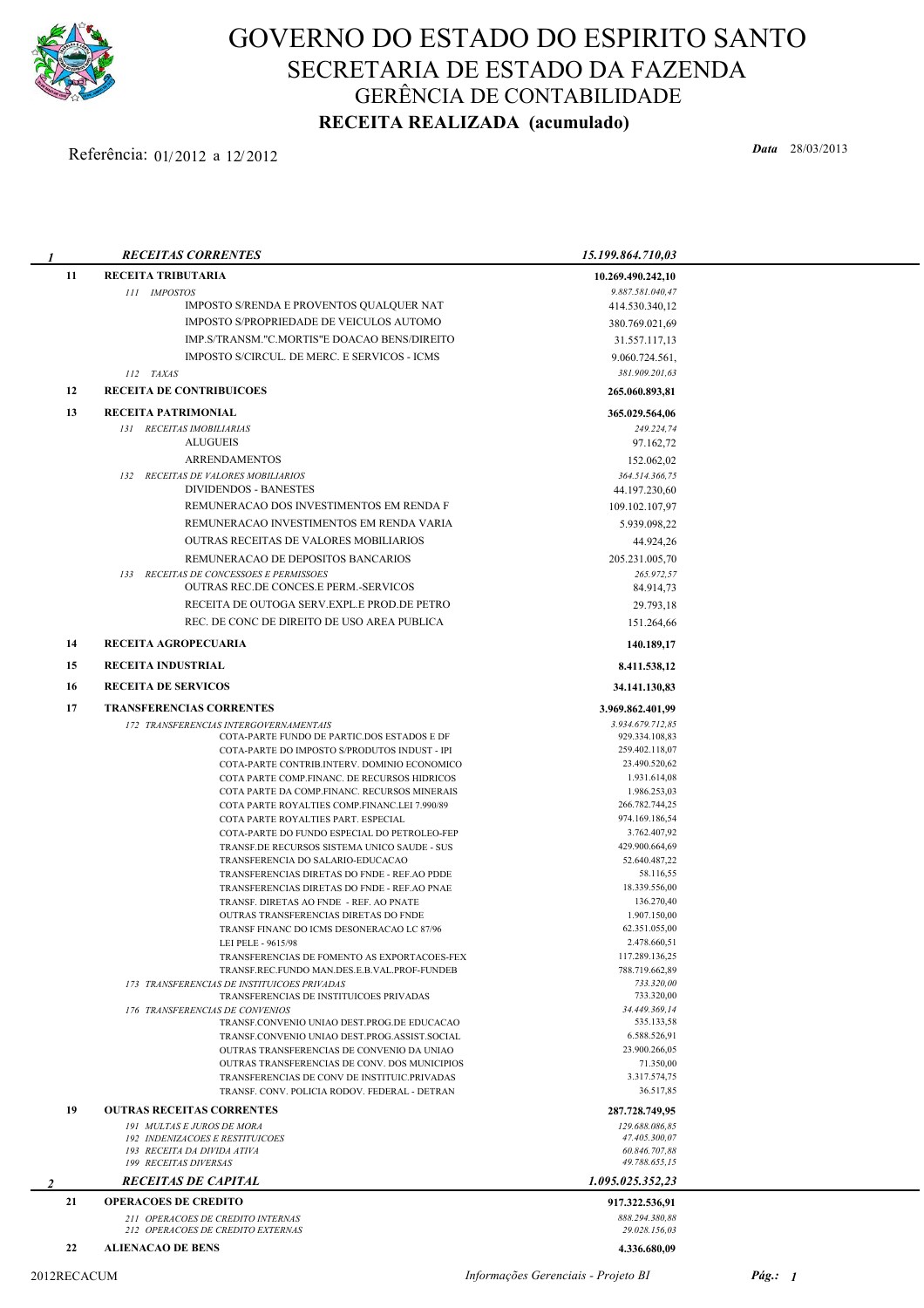

## GOVERNO DO ESTADO DO ESPIRITO SANTO SECRETARIA DE ESTADO DA FAZENDA GERÊNCIA DE CONTABILIDADE RECEITA REALIZADA (acumulado)

## Data 28/03/2013 Referência: 01/ <sup>2012</sup> <sup>a</sup> 12/ 2012

| 1              | <b>RECEITAS CORRENTES</b>                                                                     | 15.199.864.710,03                    |  |
|----------------|-----------------------------------------------------------------------------------------------|--------------------------------------|--|
| 11             | RECEITA TRIBUTARIA                                                                            | 10.269.490.242,10                    |  |
|                | 111 IMPOSTOS                                                                                  | 9.887.581.040,47                     |  |
|                | IMPOSTO S/RENDA E PROVENTOS QUALQUER NAT                                                      | 414.530.340,12                       |  |
|                | IMPOSTO S/PROPRIEDADE DE VEICULOS AUTOMO                                                      | 380.769.021,69                       |  |
|                | IMP.S/TRANSM."C.MORTIS"E DOACAO BENS/DIREITO                                                  | 31.557.117,13                        |  |
|                | IMPOSTO S/CIRCUL. DE MERC. E SERVICOS - ICMS                                                  | 9.060.724.561,                       |  |
|                | 112 TAXAS                                                                                     | 381.909.201,63                       |  |
| 12             | <b>RECEITA DE CONTRIBUICOES</b>                                                               | 265.060.893,81                       |  |
| 13             | <b>RECEITA PATRIMONIAL</b>                                                                    | 365.029.564,06                       |  |
|                | 131 RECEITAS IMOBILIARIAS                                                                     | 249.224,74                           |  |
|                | <b>ALUGUEIS</b>                                                                               | 97.162,72                            |  |
|                | <b>ARRENDAMENTOS</b>                                                                          | 152.062,02                           |  |
|                | 132 RECEITAS DE VALORES MOBILIARIOS<br><b>DIVIDENDOS - BANESTES</b>                           | 364.514.366,75<br>44.197.230,60      |  |
|                | REMUNERACAO DOS INVESTIMENTOS EM RENDA F                                                      | 109.102.107,97                       |  |
|                | REMUNERACAO INVESTIMENTOS EM RENDA VARIA                                                      | 5.939.098,22                         |  |
|                | <b>OUTRAS RECEITAS DE VALORES MOBILIARIOS</b>                                                 | 44.924,26                            |  |
|                | REMUNERACAO DE DEPOSITOS BANCARIOS                                                            | 205.231.005,70                       |  |
|                | 133 RECEITAS DE CONCESSOES E PERMISSOES                                                       | 265.972.57                           |  |
|                | <b>OUTRAS REC.DE CONCES.E PERM.-SERVICOS</b>                                                  | 84.914,73                            |  |
|                | RECEITA DE OUTOGA SERV.EXPL.E PROD.DE PETRO                                                   | 29.793,18                            |  |
|                | REC. DE CONC DE DIREITO DE USO AREA PUBLICA                                                   | 151.264,66                           |  |
| 14<br>15       | RECEITA AGROPECUARIA<br><b>RECEITA INDUSTRIAL</b>                                             | 140.189,17                           |  |
| 16             | <b>RECEITA DE SERVICOS</b>                                                                    | 8.411.538,12<br>34.141.130,83        |  |
|                |                                                                                               |                                      |  |
| 17             | <b>TRANSFERENCIAS CORRENTES</b><br>172 TRANSFERENCIAS INTERGOVERNAMENTAIS                     | 3.969.862.401,99<br>3.934.679.712,85 |  |
|                | COTA-PARTE FUNDO DE PARTIC.DOS ESTADOS E DF                                                   | 929.334.108,83                       |  |
|                | COTA-PARTE DO IMPOSTO S/PRODUTOS INDUST - IPI                                                 | 259.402.118,07                       |  |
|                | COTA-PARTE CONTRIB.INTERV. DOMINIO ECONOMICO                                                  | 23.490.520,62                        |  |
|                | COTA PARTE COMP.FINANC. DE RECURSOS HIDRICOS<br>COTA PARTE DA COMP.FINANC. RECURSOS MINERAIS  | 1.931.614,08<br>1.986.253,03         |  |
|                | COTA PARTE ROYALTIES COMP.FINANC.LEI 7.990/89                                                 | 266.782.744,25                       |  |
|                | COTA PARTE ROYALTIES PART. ESPECIAL                                                           | 974.169.186,54                       |  |
|                | COTA-PARTE DO FUNDO ESPECIAL DO PETROLEO-FEP<br>TRANSF.DE RECURSOS SISTEMA UNICO SAUDE - SUS  | 3.762.407,92<br>429.900.664,69       |  |
|                | TRANSFERENCIA DO SALARIO-EDUCACAO                                                             | 52.640.487,22                        |  |
|                | TRANSFERENCIAS DIRETAS DO FNDE - REF.AO PDDE                                                  | 58.116,55                            |  |
|                | TRANSFERENCIAS DIRETAS DO FNDE - REF.AO PNAE                                                  | 18.339.556,00                        |  |
|                | TRANSF. DIRETAS AO FNDE - REF. AO PNATE<br>OUTRAS TRANSFERENCIAS DIRETAS DO FNDE              | 136.270,40<br>1.907.150,00           |  |
|                | TRANSF FINANC DO ICMS DESONERACAO LC 87/96                                                    | 62.351.055,00                        |  |
|                | LEI PELE - 9615/98                                                                            | 2.478.660,51                         |  |
|                | TRANSFERENCIAS DE FOMENTO AS EXPORTACOES-FEX<br>TRANSF.REC.FUNDO MAN.DES.E.B.VAL.PROF-FUNDEB  | 117.289.136,25<br>788.719.662,89     |  |
|                | 173 TRANSFERENCIAS DE INSTITUICOES PRIVADAS                                                   | 733.320,00                           |  |
|                | TRANSFERENCIAS DE INSTITUICOES PRIVADAS                                                       | 733.320,00                           |  |
|                | 176 TRANSFERENCIAS DE CONVENIOS<br>TRANSF.CONVENIO UNIAO DEST.PROG.DE EDUCACAO                | 34.449.369,14<br>535.133,58          |  |
|                | TRANSF.CONVENIO UNIAO DEST.PROG.ASSIST.SOCIAL                                                 | 6.588.526,91                         |  |
|                | OUTRAS TRANSFERENCIAS DE CONVENIO DA UNIAO                                                    | 23.900.266,05                        |  |
|                | OUTRAS TRANSFERENCIAS DE CONV. DOS MUNICIPIOS<br>TRANSFERENCIAS DE CONV DE INSTITUIC.PRIVADAS | 71.350,00<br>3.317.574,75            |  |
|                | TRANSF. CONV. POLICIA RODOV. FEDERAL - DETRAN                                                 | 36.517,85                            |  |
| 19             | <b>OUTRAS RECEITAS CORRENTES</b>                                                              | 287.728.749,95                       |  |
|                | 191 MULTAS E JUROS DE MORA                                                                    | 129.688.086,85                       |  |
|                | 192 INDENIZACOES E RESTITUICOES<br>193 RECEITA DA DIVIDA ATIVA                                | 47.405.300,07<br>60.846.707,88       |  |
|                | 199 RECEITAS DIVERSAS                                                                         | 49.788.655,15                        |  |
| $\mathfrak{D}$ | <b>RECEITAS DE CAPITAL</b>                                                                    | 1.095.025.352,23                     |  |
| 21             | <b>OPERACOES DE CREDITO</b>                                                                   | 917.322.536,91                       |  |
|                | 211 OPERACOES DE CREDITO INTERNAS<br>212 OPERACOES DE CREDITO EXTERNAS                        | 888.294.380,88<br>29.028.156,03      |  |
| 22             | <b>ALIENACAO DE BENS</b>                                                                      | 4.336.680,09                         |  |